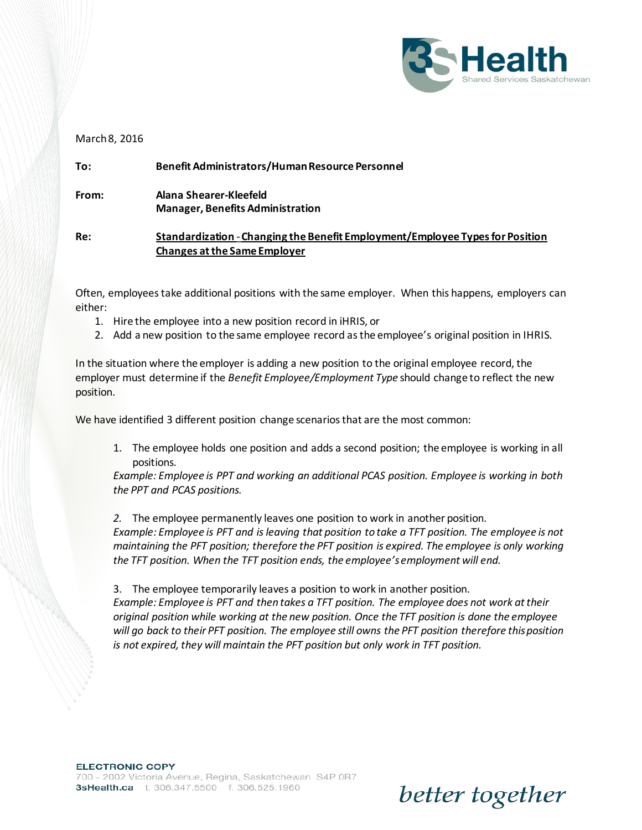

better together

## March 8, 2016

| To:   | Benefit Administrators/Human Resource Personnel                                                                      |
|-------|----------------------------------------------------------------------------------------------------------------------|
| From: | Alana Shearer-Kleefeld<br><b>Manager, Benefits Administration</b>                                                    |
| Re:   | Standardization - Changing the Benefit Employment/Employee Types for Position<br><b>Changes at the Same Employer</b> |

Often, employees take additional positions with the same employer. When this happens, employers can either:

- 1. Hire the employee into a new position record in iHRIS, or
- 2. Add a new position to the same employee record as the employee's original position in IHRIS.

In the situation where the employer is adding a new position to the original employee record, the employer must determine if the *Benefit Employee/Employment Type* should change to reflect the new position.

We have identified 3 different position change scenarios that are the most common:

1. The employee holds one position and adds a second position; the employee is working in all positions.

*Example: Employee is PPT and working an additional PCAS position. Employee is working in both the PPT and PCAS positions.*

*2.* The employee permanently leaves one position to work in another position.

*Example: Employee is PFT and is leaving that position to take a TFT position. The employee is not maintaining the PFT position; therefore the PFT position is expired. The employee is only working the TFT position. When the TFT position ends, the employee's employment will end.*

3. The employee temporarily leaves a position to work in another position.

*Example: Employee is PFT and then takes a TFT position. The employee does not work at their original position while working at the new position. Once the TFT position is done the employee will go back to their PFT position. The employee still owns the PFT position therefore this position is not expired, they will maintain the PFT position but only work in TFT position.*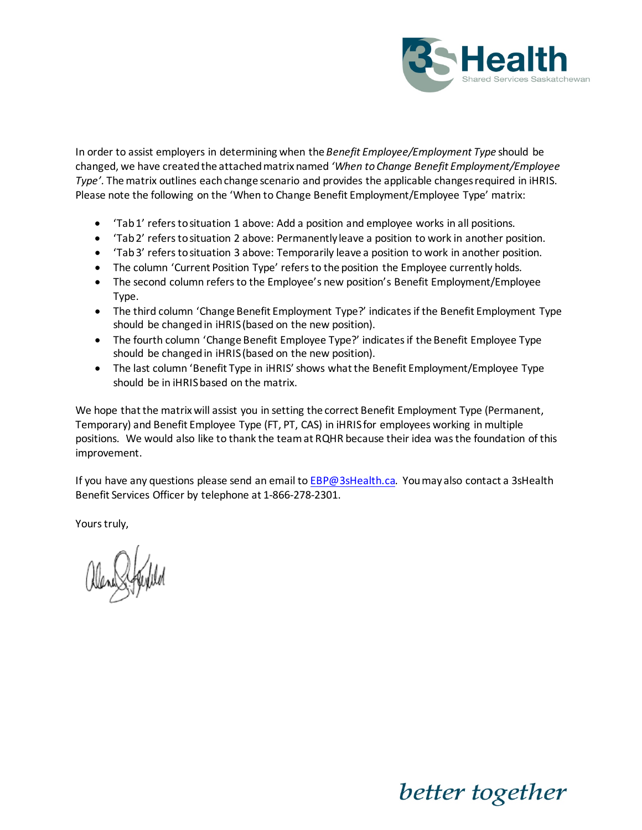

In order to assist employers in determining when the *Benefit Employee/Employment Type* should be changed, we have created the attached matrix named *'When to Change Benefit Employment/Employee Type'.* The matrix outlines each change scenario and provides the applicable changes required in iHRIS. Please note the following on the 'When to Change Benefit Employment/Employee Type' matrix:

- 'Tab 1' refers to situation 1 above: Add a position and employee works in all positions.
- 'Tab 2' refers to situation 2 above: Permanently leave a position to work in another position.
- 'Tab 3' refers to situation 3 above: Temporarily leave a position to work in another position.
- The column 'Current Position Type' refers to the position the Employee currently holds.
- The second column refers to the Employee's new position's Benefit Employment/Employee Type.
- The third column 'Change Benefit Employment Type?' indicates if the Benefit Employment Type should be changed in iHRIS (based on the new position).
- The fourth column 'Change Benefit Employee Type?' indicates if the Benefit Employee Type should be changed in iHRIS (based on the new position).
- The last column 'Benefit Type in iHRIS' shows what the Benefit Employment/Employee Type should be in iHRIS based on the matrix.

We hope that the matrix will assist you in setting the correct Benefit Employment Type (Permanent, Temporary) and Benefit Employee Type (FT, PT, CAS) in iHRIS for employees working in multiple positions. We would also like to thank the team at RQHR because their idea was the foundation of this improvement.

If you have any questions please send an email to **EBP@3sHealth.ca**. You may also contact a 3sHealth Benefit Services Officer by telephone at 1-866-278-2301.

Yours truly,

better together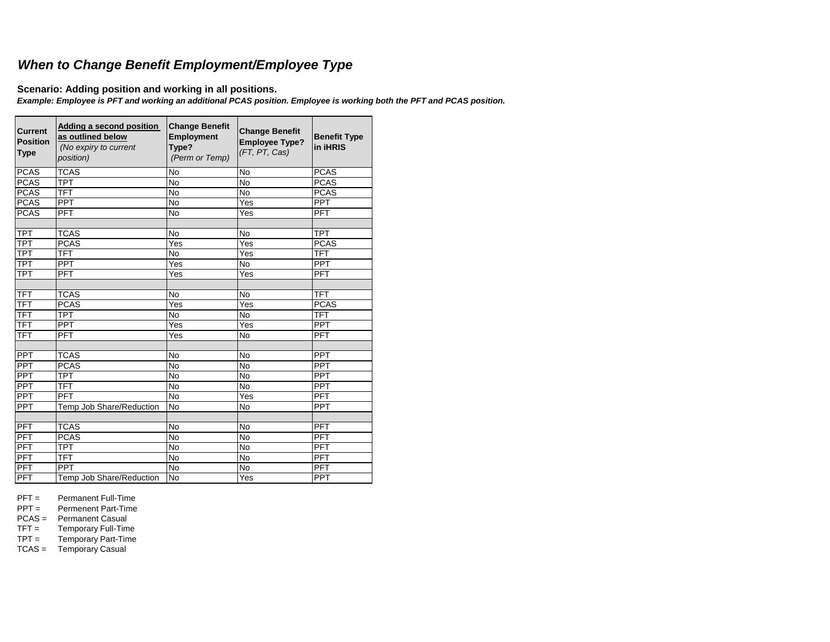## *When to Change Benefit Employment/Employee Type*

**Scenario: Adding position and working in all positions.**

*Example: Employee is PFT and working an additional PCAS position. Employee is working both the PFT and PCAS position.* 

| Current<br><b>Position</b><br><b>Type</b> | Adding a second position<br>as outlined below<br>(No expiry to current<br>position) | <b>Change Benefit</b><br><b>Employment</b><br>Type?<br>(Perm or Temp) | <b>Change Benefit</b><br><b>Employee Type?</b><br>(FT, PT, Cas) | <b>Benefit Type</b><br>in iHRIS |
|-------------------------------------------|-------------------------------------------------------------------------------------|-----------------------------------------------------------------------|-----------------------------------------------------------------|---------------------------------|
| <b>PCAS</b>                               | <b>TCAS</b>                                                                         | <b>No</b>                                                             | <b>No</b>                                                       | <b>PCAS</b>                     |
| <b>PCAS</b>                               | <b>TPT</b>                                                                          | No                                                                    | <b>No</b>                                                       | <b>PCAS</b>                     |
| <b>PCAS</b>                               | <b>TFT</b>                                                                          | <b>No</b>                                                             | <b>No</b>                                                       | <b>PCAS</b>                     |
| <b>PCAS</b>                               | PPT                                                                                 | <b>No</b>                                                             | $\overline{Y}$ es                                               | <b>PPT</b>                      |
| <b>PCAS</b>                               | <b>PFT</b>                                                                          | <b>No</b>                                                             | Yes                                                             | <b>PFT</b>                      |
|                                           |                                                                                     |                                                                       |                                                                 |                                 |
| <b>TPT</b>                                | <b>TCAS</b>                                                                         | <b>No</b>                                                             | No                                                              | <b>TPT</b>                      |
| <b>TPT</b>                                | <b>PCAS</b>                                                                         | Yes                                                                   | Yes                                                             | <b>PCAS</b>                     |
| $\overline{\text{TPT}}$                   | <b>TFT</b>                                                                          | <b>No</b>                                                             | Yes                                                             | TFT                             |
| <b>TPT</b>                                | <b>PPT</b>                                                                          | Yes                                                                   | No                                                              | <b>PPT</b>                      |
| <b>TPT</b>                                | <b>PFT</b>                                                                          | Yes                                                                   | Yes                                                             | PFT                             |
|                                           |                                                                                     |                                                                       |                                                                 |                                 |
| TFT                                       | <b>TCAS</b>                                                                         | <b>No</b>                                                             | <b>No</b>                                                       | <b>TFT</b>                      |
| <b>TFT</b>                                | <b>PCAS</b>                                                                         | Yes                                                                   | Yes                                                             | <b>PCAS</b>                     |
| <b>TFT</b>                                | <b>TPT</b>                                                                          | <b>No</b>                                                             | <b>No</b>                                                       | <b>TFT</b>                      |
| <b>TFT</b>                                | PPT                                                                                 | Yes                                                                   | Yes                                                             | PPT                             |
| TFT                                       | <b>PFT</b>                                                                          | Yes                                                                   | <b>No</b>                                                       | $\overline{PFT}$                |
|                                           |                                                                                     |                                                                       |                                                                 |                                 |
| <b>PPT</b>                                | <b>TCAS</b>                                                                         | <b>No</b>                                                             | <b>No</b>                                                       | PPT                             |
| <b>PPT</b>                                | <b>PCAS</b>                                                                         | <b>No</b>                                                             | <b>No</b>                                                       | <b>PPT</b>                      |
| <b>PPT</b>                                | $\overline{\text{TPT}}$                                                             | <b>No</b>                                                             | No                                                              | <b>PPT</b>                      |
| <b>PPT</b>                                | <b>TFT</b>                                                                          | <b>No</b>                                                             | <b>No</b>                                                       | <b>PPT</b>                      |
| <b>PPT</b>                                | <b>PFT</b>                                                                          | <b>No</b>                                                             | Yes                                                             | PFT                             |
| <b>PPT</b>                                | Temp Job Share/Reduction                                                            | <b>No</b>                                                             | <b>No</b>                                                       | <b>PPT</b>                      |
|                                           |                                                                                     |                                                                       |                                                                 |                                 |
| PFT                                       | <b>TCAS</b>                                                                         | <b>No</b>                                                             | No                                                              | PFT                             |
| PFT                                       | <b>PCAS</b>                                                                         | No                                                                    | No                                                              | PFT                             |
| PFT                                       | <b>TPT</b>                                                                          | <b>No</b>                                                             | <b>No</b>                                                       | PFT                             |
| <b>PFT</b>                                | <b>TFT</b>                                                                          | <b>No</b>                                                             | <b>No</b>                                                       | <b>PFT</b>                      |
| PFT                                       | <b>PPT</b>                                                                          | $\overline{N}$                                                        | $\overline{N}$                                                  | PFT                             |
| PFT                                       | Temp Job Share/Reduction                                                            | No                                                                    | Yes                                                             | <b>PPT</b>                      |

PFT = Permanent Full-Time<br>PPT = Permenent Part-Time

Permenent Part-Time

PCAS = Permanent Casual<br>TFT = Temporary Full-Tim

TFT = Temporary Full-Time<br>TPT = Temporary Part-Time Temporary Part-Time

TCAS = Temporary Casual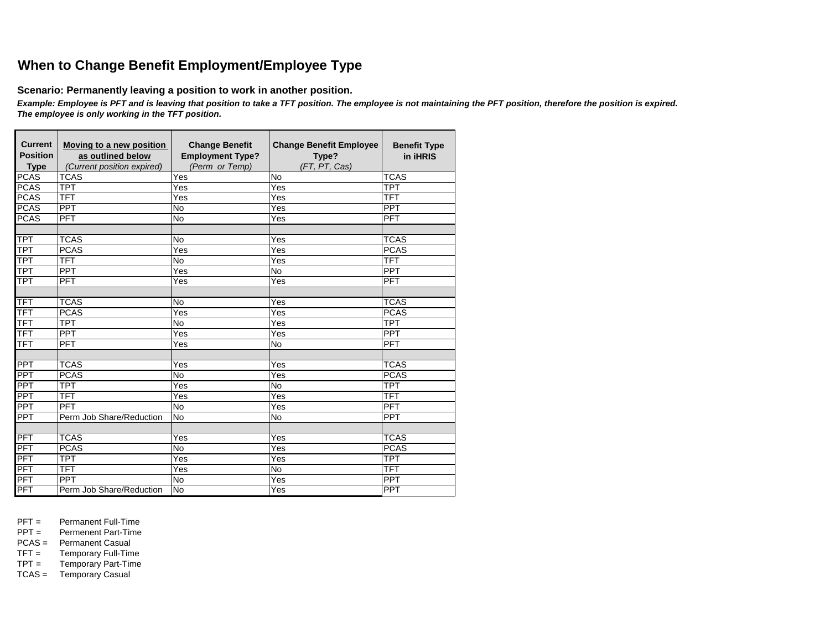## **When to Change Benefit Employment/Employee Type**

**Scenario: Permanently leaving a position to work in another position.**

*Example: Employee is PFT and is leaving that position to take a TFT position. The employee is not maintaining the PFT position, therefore the position is expired. The employee is only working in the TFT position.* 

| <b>Current</b><br><b>Position</b><br><b>Type</b> | Moving to a new position<br>as outlined below<br>(Current position expired) | <b>Change Benefit</b><br><b>Employment Type?</b><br>(Perm or Temp) | <b>Change Benefit Employee</b><br>Type?<br>(FT, PT, Cas) | <b>Benefit Type</b><br>in iHRIS |
|--------------------------------------------------|-----------------------------------------------------------------------------|--------------------------------------------------------------------|----------------------------------------------------------|---------------------------------|
| <b>PCAS</b>                                      | <b>TCAS</b>                                                                 | Yes                                                                | No                                                       | <b>TCAS</b>                     |
| <b>PCAS</b>                                      | <b>TPT</b>                                                                  | Yes                                                                | Yes                                                      | <b>TPT</b>                      |
| <b>PCAS</b>                                      | TFT                                                                         | Yes                                                                | Yes                                                      | <b>TFT</b>                      |
| <b>PCAS</b>                                      | <b>PPT</b>                                                                  | <b>No</b>                                                          | Yes                                                      | PPT                             |
| <b>PCAS</b>                                      | <b>PFT</b>                                                                  | $\overline{N}$                                                     | Yes                                                      | PFT                             |
|                                                  |                                                                             |                                                                    |                                                          |                                 |
| TPT                                              | <b>TCAS</b>                                                                 | <b>No</b>                                                          | Yes                                                      | <b>TCAS</b>                     |
| <b>TPT</b>                                       | <b>PCAS</b>                                                                 | Yes                                                                | Yes                                                      | <b>PCAS</b>                     |
| <b>TPT</b>                                       | <b>TFT</b>                                                                  | <b>No</b>                                                          | Yes                                                      | <b>TFT</b>                      |
| <b>TPT</b>                                       | <b>PPT</b>                                                                  | Yes                                                                | <b>No</b>                                                | PPT                             |
| <b>TPT</b>                                       | <b>PFT</b>                                                                  | Yes                                                                | Yes                                                      | PFT                             |
|                                                  |                                                                             |                                                                    |                                                          |                                 |
| <b>TFT</b>                                       | <b>TCAS</b>                                                                 | <b>No</b>                                                          | Yes                                                      | <b>TCAS</b>                     |
| <b>TFT</b>                                       | <b>PCAS</b>                                                                 | Yes                                                                | Yes                                                      | <b>PCAS</b>                     |
| <b>TFT</b>                                       | <b>TPT</b>                                                                  | <b>No</b>                                                          | Yes                                                      | <b>TPT</b>                      |
| TFT                                              | <b>PPT</b>                                                                  | Yes                                                                | Yes                                                      | <b>PPT</b>                      |
| <b>TFT</b>                                       | PFT                                                                         | Yes                                                                | <b>No</b>                                                | <b>PFT</b>                      |
|                                                  |                                                                             |                                                                    |                                                          |                                 |
| <b>PPT</b>                                       | <b>TCAS</b>                                                                 | Yes                                                                | Yes                                                      | <b>TCAS</b>                     |
| PPT                                              | <b>PCAS</b>                                                                 | <b>No</b>                                                          | Yes                                                      | <b>PCAS</b>                     |
| <b>PPT</b>                                       | <b>TPT</b>                                                                  | Yes                                                                | $\overline{N}$                                           | <b>TPT</b>                      |
| <b>PPT</b>                                       | TFT                                                                         | Yes                                                                | $\overline{Yes}$                                         | <b>TFT</b>                      |
| <b>PPT</b>                                       | PFT                                                                         | <b>No</b>                                                          | Yes                                                      | PFT                             |
| PPT                                              | Perm Job Share/Reduction                                                    | No                                                                 | <b>No</b>                                                | <b>PPT</b>                      |
|                                                  |                                                                             |                                                                    |                                                          |                                 |
| PFT                                              | <b>TCAS</b>                                                                 | Yes                                                                | Yes                                                      | <b>TCAS</b>                     |
| PFT                                              | <b>PCAS</b>                                                                 | <b>No</b>                                                          | Yes                                                      | <b>PCAS</b>                     |
| <b>PFT</b>                                       | <b>TPT</b>                                                                  | Yes                                                                | Yes                                                      | <b>TPT</b>                      |
| PFT                                              | TFT                                                                         | Yes                                                                | <b>No</b>                                                | <b>TFT</b>                      |
| <b>PFT</b>                                       | <b>PPT</b>                                                                  | <b>No</b>                                                          | Yes                                                      | <b>PPT</b>                      |
| PFT                                              | Perm Job Share/Reduction                                                    | <b>No</b>                                                          | Yes                                                      | <b>PPT</b>                      |

PFT = Permanent Full-Time<br>PPT = Permenent Part-Time

Permenent Part-Time

PCAS = Permanent Casual<br>TFT = Temporary Full-Tim

TFT = Temporary Full-Time<br>TPT = Temporary Part-Time

Temporary Part-Time TCAS = Temporary Casual